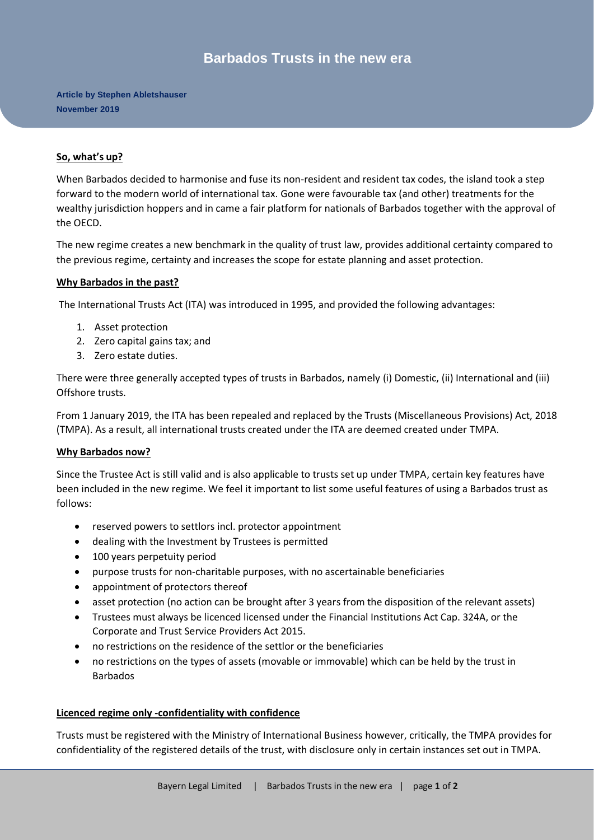# **Barbados Trusts in the new era**

**Article by Stephen Abletshauser November 2019**

#### **So, what's up?**

When Barbados decided to harmonise and fuse its non-resident and resident tax codes, the island took a step forward to the modern world of international tax. Gone were favourable tax (and other) treatments for the wealthy jurisdiction hoppers and in came a fair platform for nationals of Barbados together with the approval of the OECD.

The new regime creates a new benchmark in the quality of trust law, provides additional certainty compared to the previous regime, certainty and increases the scope for estate planning and asset protection.

#### **Why Barbados in the past?**

The International Trusts Act (ITA) was introduced in 1995, and provided the following advantages:

- 1. Asset protection
- 2. Zero capital gains tax; and
- 3. Zero estate duties.

There were three generally accepted types of trusts in Barbados, namely (i) Domestic, (ii) International and (iii) Offshore trusts.

From 1 January 2019, the ITA has been repealed and replaced by the Trusts (Miscellaneous Provisions) Act, 2018 (TMPA). As a result, all international trusts created under the ITA are deemed created under TMPA.

## **Why Barbados now?**

Since the Trustee Act is still valid and is also applicable to trusts set up under TMPA, certain key features have been included in the new regime. We feel it important to list some useful features of using a Barbados trust as follows:

- reserved powers to settlors incl. protector appointment
- dealing with the Investment by Trustees is permitted
- 100 years perpetuity period
- purpose trusts for non-charitable purposes, with no ascertainable beneficiaries
- appointment of protectors thereof
- asset protection (no action can be brought after 3 years from the disposition of the relevant assets)
- Trustees must always be licenced licensed under the Financial Institutions Act Cap. 324A, or the Corporate and Trust Service Providers Act 2015.
- no restrictions on the residence of the settlor or the beneficiaries
- no restrictions on the types of assets (movable or immovable) which can be held by the trust in Barbados

#### **Licenced regime only -confidentiality with confidence**

Trusts must be registered with the Ministry of International Business however, critically, the TMPA provides for confidentiality of the registered details of the trust, with disclosure only in certain instances set out in TMPA.